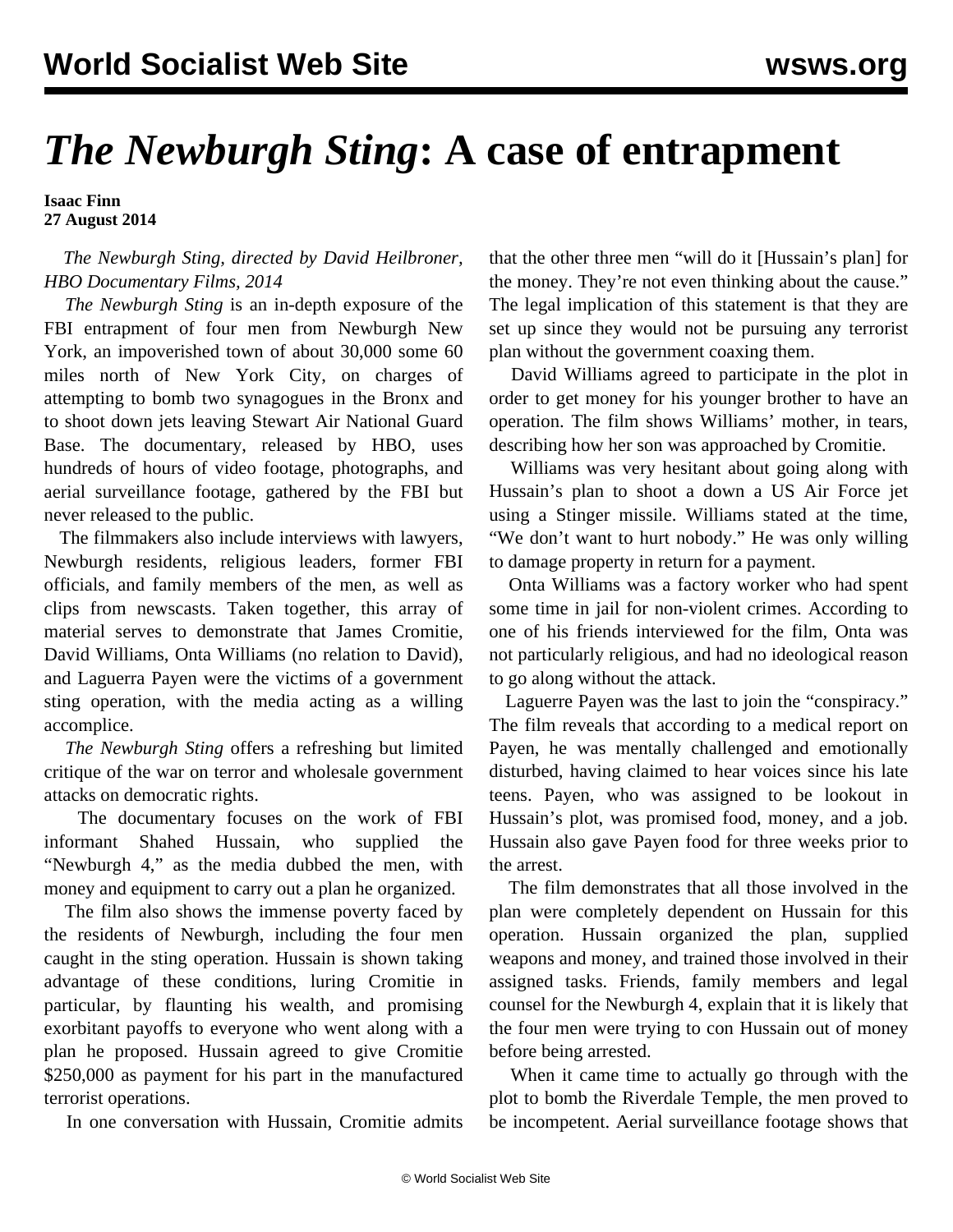## *The Newburgh Sting***: A case of entrapment**

**Isaac Finn 27 August 2014**

## *The Newburgh Sting, directed by David Heilbroner, HBO Documentary Films, 2014*

 *The Newburgh Sting* is an in-depth exposure of the FBI entrapment of four men from Newburgh New York, an impoverished town of about 30,000 some 60 miles north of New York City, on charges of attempting to bomb two synagogues in the Bronx and to shoot down jets leaving Stewart Air National Guard Base. The documentary, released by HBO, uses hundreds of hours of video footage, photographs, and aerial surveillance footage, gathered by the FBI but never released to the public.

 The filmmakers also include interviews with lawyers, Newburgh residents, religious leaders, former FBI officials, and family members of the men, as well as clips from newscasts. Taken together, this array of material serves to demonstrate that James Cromitie, David Williams, Onta Williams (no relation to David), and Laguerra Payen were the victims of a government sting operation, with the media acting as a willing accomplice.

 *The Newburgh Sting* offers a refreshing but limited critique of the war on terror and wholesale government attacks on democratic rights.

 The documentary focuses on the work of FBI informant Shahed Hussain, who supplied the "Newburgh 4," as the media dubbed the men, with money and equipment to carry out a plan he organized.

 The film also shows the immense poverty faced by the residents of Newburgh, including the four men caught in the sting operation. Hussain is shown taking advantage of these conditions, luring Cromitie in particular, by flaunting his wealth, and promising exorbitant payoffs to everyone who went along with a plan he proposed. Hussain agreed to give Cromitie \$250,000 as payment for his part in the manufactured terrorist operations.

In one conversation with Hussain, Cromitie admits

that the other three men "will do it [Hussain's plan] for the money. They're not even thinking about the cause." The legal implication of this statement is that they are set up since they would not be pursuing any terrorist plan without the government coaxing them.

 David Williams agreed to participate in the plot in order to get money for his younger brother to have an operation. The film shows Williams' mother, in tears, describing how her son was approached by Cromitie.

 Williams was very hesitant about going along with Hussain's plan to shoot a down a US Air Force jet using a Stinger missile. Williams stated at the time, "We don't want to hurt nobody." He was only willing to damage property in return for a payment.

 Onta Williams was a factory worker who had spent some time in jail for non-violent crimes. According to one of his friends interviewed for the film, Onta was not particularly religious, and had no ideological reason to go along without the attack.

 Laguerre Payen was the last to join the "conspiracy." The film reveals that according to a medical report on Payen, he was mentally challenged and emotionally disturbed, having claimed to hear voices since his late teens. Payen, who was assigned to be lookout in Hussain's plot, was promised food, money, and a job. Hussain also gave Payen food for three weeks prior to the arrest.

 The film demonstrates that all those involved in the plan were completely dependent on Hussain for this operation. Hussain organized the plan, supplied weapons and money, and trained those involved in their assigned tasks. Friends, family members and legal counsel for the Newburgh 4, explain that it is likely that the four men were trying to con Hussain out of money before being arrested.

 When it came time to actually go through with the plot to bomb the Riverdale Temple, the men proved to be incompetent. Aerial surveillance footage shows that